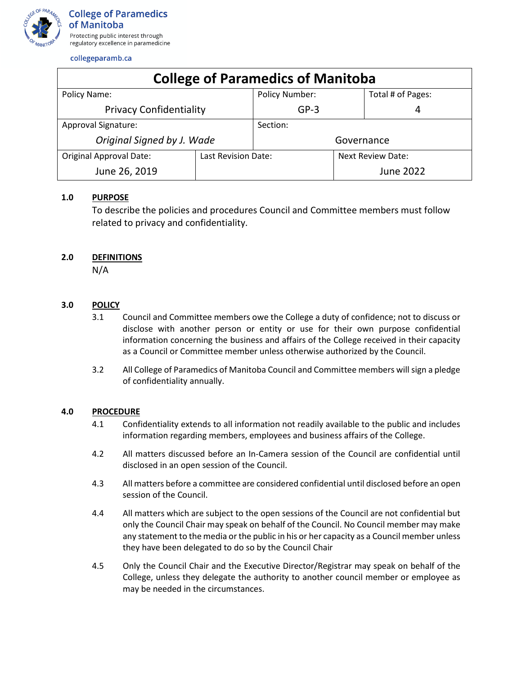

| <b>College of Paramedics of Manitoba</b> |                     |                       |                          |                   |
|------------------------------------------|---------------------|-----------------------|--------------------------|-------------------|
| Policy Name:                             |                     | <b>Policy Number:</b> |                          | Total # of Pages: |
| <b>Privacy Confidentiality</b>           |                     | $GP-3$                |                          | 4                 |
| <b>Approval Signature:</b>               |                     | Section:              |                          |                   |
| Original Signed by J. Wade               |                     | Governance            |                          |                   |
| <b>Original Approval Date:</b>           | Last Revision Date: |                       | <b>Next Review Date:</b> |                   |
| June 26, 2019                            |                     |                       |                          | June 2022         |

## **1.0 PURPOSE**

To describe the policies and procedures Council and Committee members must follow related to privacy and confidentiality.

## **2.0 DEFINITIONS**

N/A

# **3.0 POLICY**

- 3.1 Council and Committee members owe the College a duty of confidence; not to discuss or disclose with another person or entity or use for their own purpose confidential information concerning the business and affairs of the College received in their capacity as a Council or Committee member unless otherwise authorized by the Council.
- 3.2 All College of Paramedics of Manitoba Council and Committee members will sign a pledge of confidentiality annually.

## **4.0 PROCEDURE**

- 4.1 Confidentiality extends to all information not readily available to the public and includes information regarding members, employees and business affairs of the College.
- 4.2 All matters discussed before an In-Camera session of the Council are confidential until disclosed in an open session of the Council.
- 4.3 All matters before a committee are considered confidential until disclosed before an open session of the Council.
- 4.4 All matters which are subject to the open sessions of the Council are not confidential but only the Council Chair may speak on behalf of the Council. No Council member may make any statement to the media or the public in his or her capacity as a Council member unless they have been delegated to do so by the Council Chair
- 4.5 Only the Council Chair and the Executive Director/Registrar may speak on behalf of the College, unless they delegate the authority to another council member or employee as may be needed in the circumstances.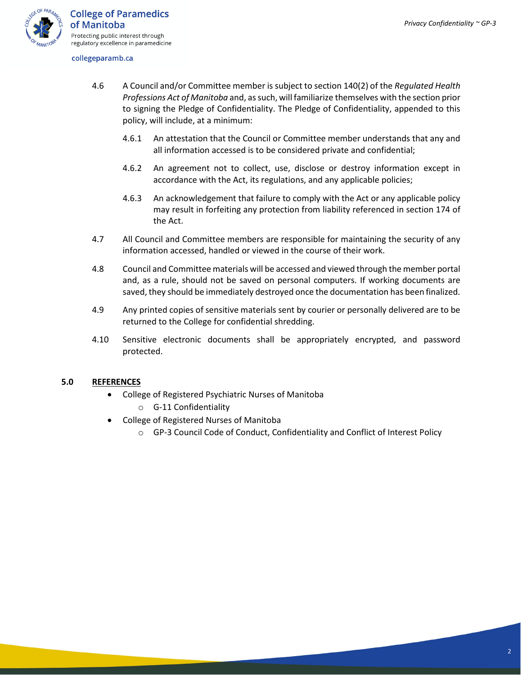

- 4.6 A Council and/or Committee member is subject to section 140(2) of the *Regulated Health Professions Act of Manitoba* and, as such, will familiarize themselves with the section prior to signing the Pledge of Confidentiality. The Pledge of Confidentiality, appended to this policy, will include, at a minimum:
	- 4.6.1 An attestation that the Council or Committee member understands that any and all information accessed is to be considered private and confidential;
	- 4.6.2 An agreement not to collect, use, disclose or destroy information except in accordance with the Act, its regulations, and any applicable policies;
	- 4.6.3 An acknowledgement that failure to comply with the Act or any applicable policy may result in forfeiting any protection from liability referenced in section 174 of the Act.
- 4.7 All Council and Committee members are responsible for maintaining the security of any information accessed, handled or viewed in the course of their work.
- 4.8 Council and Committee materials will be accessed and viewed through the member portal and, as a rule, should not be saved on personal computers. If working documents are saved, they should be immediately destroyed once the documentation has been finalized.
- 4.9 Any printed copies of sensitive materials sent by courier or personally delivered are to be returned to the College for confidential shredding.
- 4.10 Sensitive electronic documents shall be appropriately encrypted, and password protected.

### **5.0 REFERENCES**

- College of Registered Psychiatric Nurses of Manitoba
	- o G-11 Confidentiality
- College of Registered Nurses of Manitoba
	- o GP-3 Council Code of Conduct, Confidentiality and Conflict of Interest Policy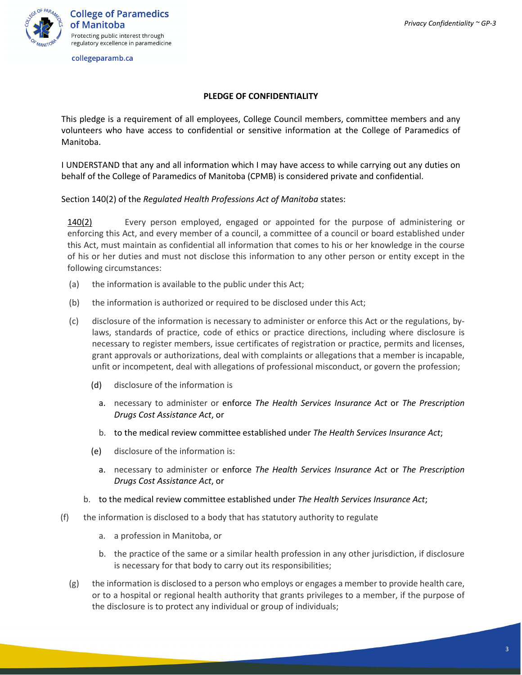

## **PLEDGE OF CONFIDENTIALITY**

This pledge is a requirement of all employees, College Council members, committee members and any volunteers who have access to confidential or sensitive information at the College of Paramedics of Manitoba.

I UNDERSTAND that any and all information which I may have access to while carrying out any duties on behalf of the College of Paramedics of Manitoba (CPMB) is considered private and confidential.

Section 140(2) of the *Regulated Health Professions Act of Manitoba* states:

[140\(2\)](http://web2.gov.mb.ca/laws/statutes/ccsm/r117f.php#140(2)) Every person employed, engaged or appointed for the purpose of administering or enforcing this Act, and every member of a council, a committee of a council or board established under this Act, must maintain as confidential all information that comes to his or her knowledge in the course of his or her duties and must not disclose this information to any other person or entity except in the following circumstances:

- (a) the information is available to the public under this Act;
- (b) the information is authorized or required to be disclosed under this Act;
- (c) disclosure of the information is necessary to administer or enforce this Act or the regulations, bylaws, standards of practice, code of ethics or practice directions, including where disclosure is necessary to register members, issue certificates of registration or practice, permits and licenses, grant approvals or authorizations, deal with complaints or allegations that a member is incapable, unfit or incompetent, deal with allegations of professional misconduct, or govern the profession;
	- (d) disclosure of the information is
		- a. necessary to administer or enforce *The Health Services Insurance Act* or *The Prescription Drugs Cost Assistance Act*, or
		- b. to the medical review committee established under *The Health Services Insurance Act*;
	- (e) disclosure of the information is:
		- a. necessary to administer or enforce *The Health Services Insurance Act* or *The Prescription Drugs Cost Assistance Act*, or
	- b. to the medical review committee established under *The Health Services Insurance Act*;
- (f) the information is disclosed to a body that has statutory authority to regulate
	- a. a profession in Manitoba, or
	- b. the practice of the same or a similar health profession in any other jurisdiction, if disclosure is necessary for that body to carry out its responsibilities;
	- (g) the information is disclosed to a person who employs or engages a member to provide health care, or to a hospital or regional health authority that grants privileges to a member, if the purpose of the disclosure is to protect any individual or group of individuals;